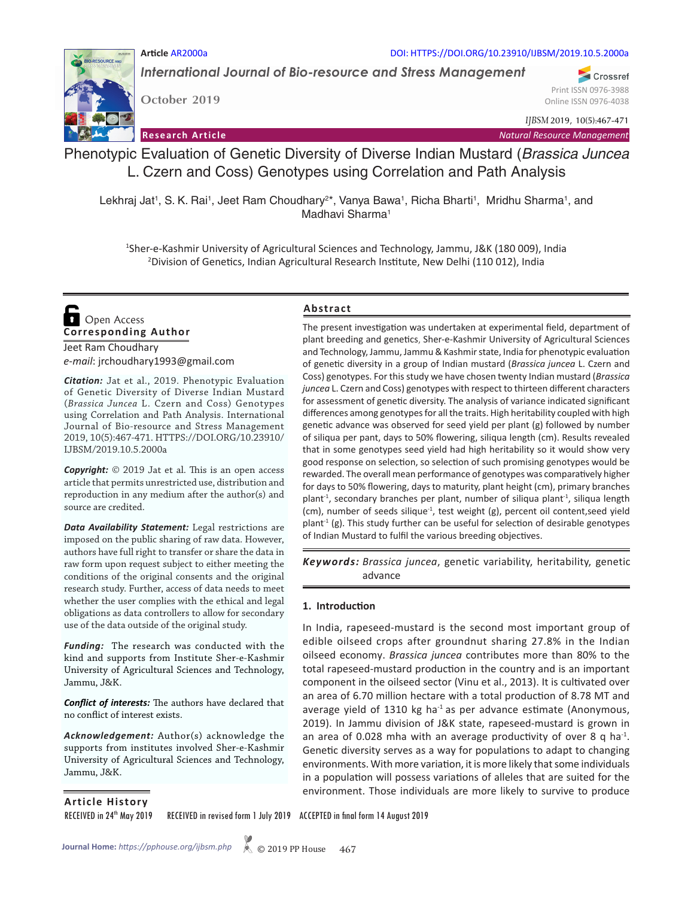### **Article** AR2000a DOI: HTTPS://DOI.ORG/10.23910/IJBSM/2019.10.5.2000a

*International Journal of Bio-resource and Stress Management*

**October 2019**

Online ISSN 0976-4038

Print ISSN 0976-3988

Crossref

*IJBSM* 2019, 10(5):467-471

**Research Article** *Natural Resource Management*



Phenotypic Evaluation of Genetic Diversity of Diverse Indian Mustard (*Brassica Juncea* L. Czern and Coss) Genotypes using Correlation and Path Analysis

Lekhraj Jat<sup>1</sup>, S. K. Rai<sup>1</sup>, Jeet Ram Choudhary<sup>2\*</sup>, Vanya Bawa<sup>1</sup>, Richa Bharti<sup>1</sup>, Mridhu Sharma<sup>1</sup>, and Madhavi Sharma<sup>1</sup>

1 Sher-e-Kashmir University of Agricultural Sciences and Technology, Jammu, J&K (180 009), India 2 Division of Genetics, Indian Agricultural Research Institute, New Delhi (110 012), India

**Corresponding Author**  Open Access

Jeet Ram Choudhary *e-mail*: jrchoudhary1993@gmail.com

*Citation:* Jat et al., 2019. Phenotypic Evaluation of Genetic Diversity of Diverse Indian Mustard (*Brassica Juncea* L. Czern and Coss) Genotypes using Correlation and Path Analysis. International Journal of Bio-resource and Stress Management 2019, 10(5):467-471. HTTPS://DOI.ORG/10.23910/ IJBSM/2019.10.5.2000a

*Copyright:* © 2019 Jat et al. This is an open access article that permits unrestricted use, distribution and reproduction in any medium after the author(s) and source are credited.

*Data Availability Statement:* Legal restrictions are imposed on the public sharing of raw data. However, authors have full right to transfer or share the data in raw form upon request subject to either meeting the conditions of the original consents and the original research study. Further, access of data needs to meet whether the user complies with the ethical and legal obligations as data controllers to allow for secondary use of the data outside of the original study.

*Funding:* The research was conducted with the kind and supports from Institute Sher-e-Kashmir University of Agricultural Sciences and Technology, Jammu, J&K.

*Conflict of interests:* The authors have declared that no conflict of interest exists.

*Acknowledgement:* Author(s) acknowledge the supports from institutes involved Sher-e-Kashmir University of Agricultural Sciences and Technology, Jammu, J&K.

## **Abstract**

The present investigation was undertaken at experimental field, department of plant breeding and genetics, Sher-e-Kashmir University of Agricultural Sciences and Technology, Jammu, Jammu & Kashmir state, India for phenotypic evaluation of genetic diversity in a group of Indian mustard (*Brassica juncea* L. Czern and Coss) genotypes. For this study we have chosen twenty Indian mustard (*Brassica juncea* L. Czern and Coss) genotypes with respect to thirteen different characters for assessment of genetic diversity. The analysis of variance indicated significant differences among genotypes for all the traits. High heritability coupled with high genetic advance was observed for seed yield per plant (g) followed by number of siliqua per pant, days to 50% flowering, siliqua length (cm). Results revealed that in some genotypes seed yield had high heritability so it would show very good response on selection, so selection of such promising genotypes would be rewarded. The overall mean performance of genotypes was comparatively higher for days to 50% flowering, days to maturity, plant height (cm), primary branches plant<sup>-1</sup>, secondary branches per plant, number of siliqua plant<sup>-1</sup>, siliqua length (cm), number of seeds silique<sup>-1</sup>, test weight (g), percent oil content, seed yield plant $<sup>1</sup>$  (g). This study further can be useful for selection of desirable genotypes</sup> of Indian Mustard to fulfil the various breeding objectives.

*Brassica juncea*, genetic variability, heritability, genetic *Keywords:*  advance

#### **1. Introduction**

In India, rapeseed-mustard is the second most important group of edible oilseed crops after groundnut sharing 27.8% in the Indian oilseed economy. *Brassica juncea* contributes more than 80% to the total rapeseed-mustard production in the country and is an important component in the oilseed sector (Vinu et al., 2013). It is cultivated over an area of 6.70 million hectare with a total production of 8.78 MT and average yield of 1310 kg ha $^{-1}$  as per advance estimate (Anonymous, 2019). In Jammu division of J&K state, rapeseed-mustard is grown in an area of 0.028 mha with an average productivity of over 8 q ha $^{-1}$ . Genetic diversity serves as a way for populations to adapt to changing environments. With more variation, it is more likely that some individuals in a population will possess variations of alleles that are suited for the environment. Those individuals are more likely to survive to produce

**Article History**

RECEIVED in 24th May 2019 RECEIVED in revised form 1 July 2019 ACCEPTED in final form 14 August 2019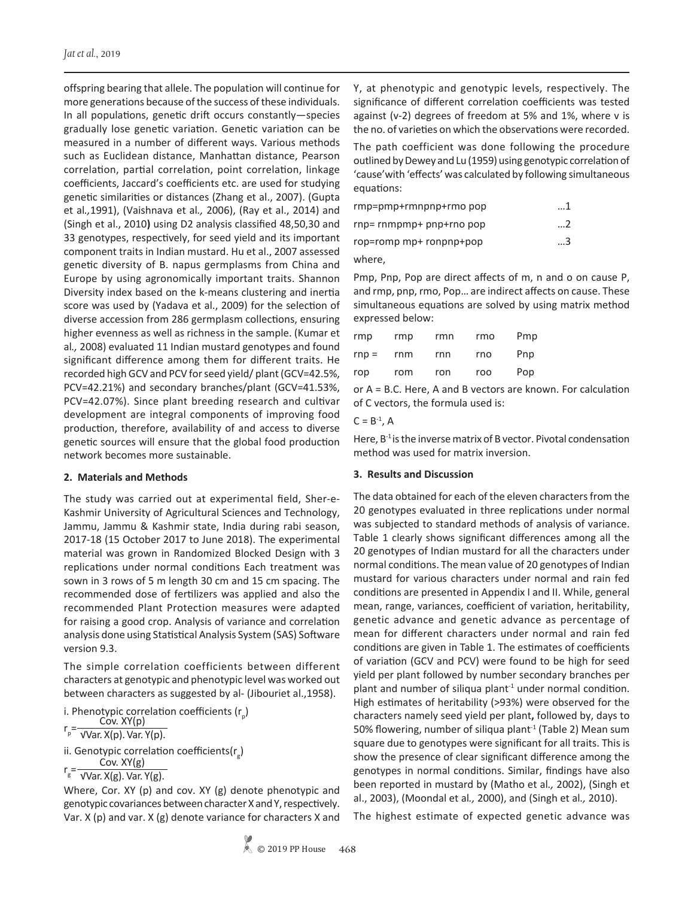offspring bearing that allele. The population will continue for more generations because of the success of these individuals. In all populations, genetic drift occurs constantly—species gradually lose genetic variation. Genetic variation can be measured in a number of different ways. Various methods such as Euclidean distance, Manhattan distance, Pearson correlation, partial correlation, point correlation, linkage coefficients, Jaccard's coefficients etc. are used for studying genetic similarities or distances (Zhang et al., 2007). (Gupta et al*.,*1991), (Vaishnava et al*.,* 2006), (Ray et al., 2014) and (Singh et al., 2010**)** using D2 analysis classified 48,50,30 and 33 genotypes, respectively, for seed yield and its important component traits in Indian mustard. Hu et al., 2007 assessed genetic diversity of B. napus germplasms from China and Europe by using agronomically important traits. Shannon Diversity index based on the k-means clustering and inertia score was used by (Yadava et al., 2009) for the selection of diverse accession from 286 germplasm collections, ensuring higher evenness as well as richness in the sample. (Kumar et al*.,* 2008) evaluated 11 Indian mustard genotypes and found significant difference among them for different traits. He recorded high GCV and PCV for seed yield/ plant (GCV=42.5%, PCV=42.21%) and secondary branches/plant (GCV=41.53%, PCV=42.07%). Since plant breeding research and cultivar development are integral components of improving food production, therefore, availability of and access to diverse genetic sources will ensure that the global food production network becomes more sustainable.

## **2. Materials and Methods**

The study was carried out at experimental field, Sher-e-Kashmir University of Agricultural Sciences and Technology, Jammu, Jammu & Kashmir state, India during rabi season, 2017-18 (15 October 2017 to June 2018). The experimental material was grown in Randomized Blocked Design with 3 replications under normal conditions Each treatment was sown in 3 rows of 5 m length 30 cm and 15 cm spacing. The recommended dose of fertilizers was applied and also the recommended Plant Protection measures were adapted for raising a good crop. Analysis of variance and correlation analysis done using Statistical Analysis System (SAS) Software version 9.3.

The simple correlation coefficients between different characters at genotypic and phenotypic level was worked out between characters as suggested by al- (Jibouriet al.,1958).

```
i. Phenotypic correlation coefficients (r_p)
```
 $r_p = \frac{Cov. XY(p)}{\sqrt{Var. X(p). Var. Y(p)}}$ 

ii. Genotypic correlation coefficients( $r_g$ )  $r_g = \frac{Cov. XY(g)}{\sqrt{Var. X(g). Var. Y(g).}}$ 

Where, Cor. XY (p) and cov. XY (g) denote phenotypic and genotypic covariances between character X and Y, respectively. Var. X (p) and var. X (g) denote variance for characters X and Y, at phenotypic and genotypic levels, respectively. The significance of different correlation coefficients was tested against (v-2) degrees of freedom at 5% and 1%, where v is the no. of varieties on which the observations were recorded.

The path coefficient was done following the procedure outlined by Dewey and Lu (1959) using genotypic correlation of 'cause'with 'effects' was calculated by following simultaneous equations:

| rmp=pmp+rmnpnp+rmo pop   | 1 |
|--------------------------|---|
| rnp= rnmpmp+ pnp+rno pop | 2 |
| rop=romp mp+ ronpnp+pop  | 3 |

where,

Pmp, Pnp, Pop are direct affects of m, n and o on cause P, and rmp, pnp, rmo, Pop… are indirect affects on cause. These simultaneous equations are solved by using matrix method expressed below:

| rmp     | rmp | rmn | rmo | Pmp |
|---------|-----|-----|-----|-----|
| $rnp =$ | rnm | rnn | rno | Pnp |
| rop     | rom | ron | roo | Pop |

or A = B.C. Here, A and B vectors are known. For calculation of C vectors, the formula used is:

### $C = B^{-1}$ , A

Here,  $B^{-1}$  is the inverse matrix of B vector. Pivotal condensation method was used for matrix inversion.

# **3. Results and Discussion**

The data obtained for each of the eleven characters from the 20 genotypes evaluated in three replications under normal was subjected to standard methods of analysis of variance. Table 1 clearly shows significant differences among all the 20 genotypes of Indian mustard for all the characters under normal conditions. The mean value of 20 genotypes of Indian mustard for various characters under normal and rain fed conditions are presented in Appendix I and II. While, general mean, range, variances, coefficient of variation, heritability, genetic advance and genetic advance as percentage of mean for different characters under normal and rain fed conditions are given in Table 1. The estimates of coefficients of variation (GCV and PCV) were found to be high for seed yield per plant followed by number secondary branches per plant and number of siliqua plant $1$  under normal condition. High estimates of heritability (>93%) were observed for the characters namely seed yield per plant**,** followed by, days to 50% flowering, number of siliqua plant<sup>-1</sup> (Table 2) Mean sum square due to genotypes were significant for all traits. This is show the presence of clear significant difference among the genotypes in normal conditions. Similar, findings have also been reported in mustard by (Matho et al*.,* 2002), (Singh et al., 2003), (Moondal et al*.,* 2000), and (Singh et al*.,* 2010).

The highest estimate of expected genetic advance was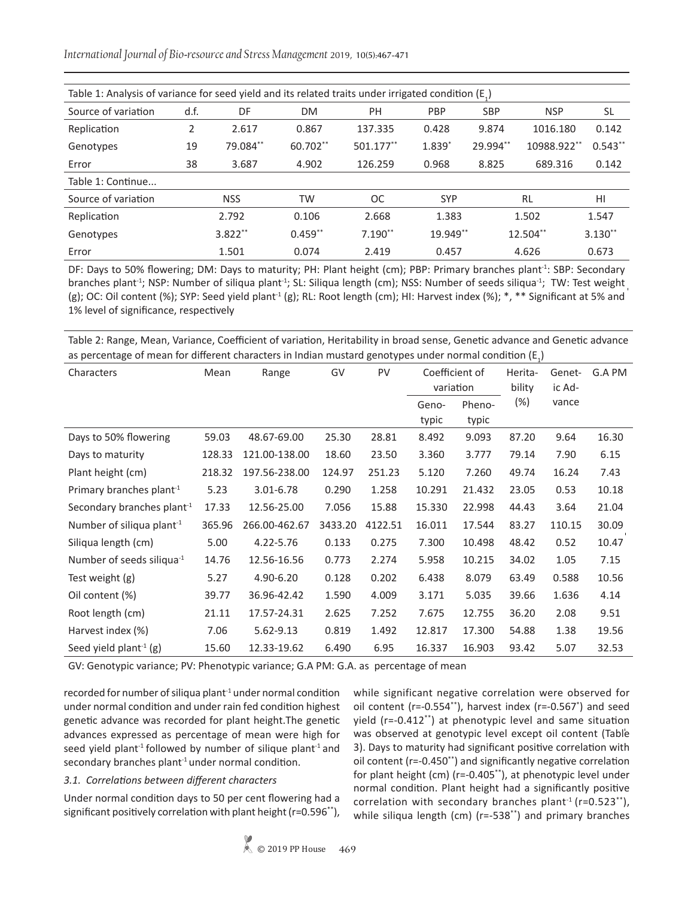*International Journal of Bio-resource and Stress Management* 2019, 10(5):467-471

| Table 1: Analysis of variance for seed yield and its related traits under irrigated condition (E <sub>1</sub> ) |    |            |           |           |            |            |             |           |  |  |  |
|-----------------------------------------------------------------------------------------------------------------|----|------------|-----------|-----------|------------|------------|-------------|-----------|--|--|--|
| d.f.<br>Source of variation                                                                                     |    | DF         | <b>DM</b> | PH        | PBP        | <b>SBP</b> | <b>NSP</b>  | <b>SL</b> |  |  |  |
| Replication                                                                                                     | 2  | 2.617      | 0.867     | 137.335   | 0.428      | 9.874      | 1016.180    | 0.142     |  |  |  |
| Genotypes                                                                                                       | 19 | 79.084**   | 60.702**  | 501.177** | $1.839*$   | 29.994**   | 10988.922** | $0.543**$ |  |  |  |
| 38<br>Error                                                                                                     |    | 3.687      | 4.902     | 126.259   | 0.968      | 8.825      | 689.316     | 0.142     |  |  |  |
| Table 1: Continue                                                                                               |    |            |           |           |            |            |             |           |  |  |  |
| Source of variation                                                                                             |    | <b>NSS</b> | <b>TW</b> | <b>OC</b> | <b>SYP</b> |            | <b>RL</b>   | HI        |  |  |  |
| Replication                                                                                                     |    | 2.792      | 0.106     | 2.668     | 1.383      |            | 1.502       | 1.547     |  |  |  |
| Genotypes                                                                                                       |    | $3.822**$  | $0.459**$ | $7.190**$ | 19.949**   |            | 12.504**    | $3.130**$ |  |  |  |
| Error                                                                                                           |    | 1.501      | 0.074     | 2.419     | 0.457      |            | 4.626       | 0.673     |  |  |  |

DF: Days to 50% flowering; DM: Days to maturity; PH: Plant height (cm); PBP: Primary branches plant<sup>-1</sup>: SBP: Secondary branches plant<sup>-1</sup>; NSP: Number of siliqua plant<sup>-1</sup>; SL: Siliqua length (cm); NSS: Number of seeds siliqua<sup>-1</sup>; TW: Test weight (g); OC: Oil content (%); SYP: Seed yield plant<sup>-1</sup> (g); RL: Root length (cm); HI: Harvest index (%);  $*,$  \*\* Significant at 5% and 1% level of significance, respectively

Table 2: Range, Mean, Variance, Coefficient of variation, Heritability in broad sense, Genetic advance and Genetic advance as percentage of mean for different characters in Indian mustard genotypes under normal condition  $(\mathsf{E}_1)$ 

| Characters                             | Mean   | Range         | GV      | PV      | Coefficient of<br>variation |                 | Herita-<br>bility | Genet-<br>ic Ad- | G.A PM |
|----------------------------------------|--------|---------------|---------|---------|-----------------------------|-----------------|-------------------|------------------|--------|
|                                        |        |               |         |         | Geno-<br>typic              | Pheno-<br>typic | $(\%)$            | vance            |        |
| Days to 50% flowering                  | 59.03  | 48.67-69.00   | 25.30   | 28.81   | 8.492                       | 9.093           | 87.20             | 9.64             | 16.30  |
| Days to maturity                       | 128.33 | 121.00-138.00 | 18.60   | 23.50   | 3.360                       | 3.777           | 79.14             | 7.90             | 6.15   |
| Plant height (cm)                      | 218.32 | 197.56-238.00 | 124.97  | 251.23  | 5.120                       | 7.260           | 49.74             | 16.24            | 7.43   |
| Primary branches plant <sup>-1</sup>   | 5.23   | 3.01-6.78     | 0.290   | 1.258   | 10.291                      | 21.432          | 23.05             | 0.53             | 10.18  |
| Secondary branches plant <sup>-1</sup> | 17.33  | 12.56-25.00   | 7.056   | 15.88   | 15.330                      | 22.998          | 44.43             | 3.64             | 21.04  |
| Number of siliqua plant <sup>-1</sup>  | 365.96 | 266.00-462.67 | 3433.20 | 4122.51 | 16.011                      | 17.544          | 83.27             | 110.15           | 30.09  |
| Siliqua length (cm)                    | 5.00   | 4.22-5.76     | 0.133   | 0.275   | 7.300                       | 10.498          | 48.42             | 0.52             | 10.47  |
| Number of seeds siliqua $^{-1}$        | 14.76  | 12.56-16.56   | 0.773   | 2.274   | 5.958                       | 10.215          | 34.02             | 1.05             | 7.15   |
| Test weight (g)                        | 5.27   | 4.90-6.20     | 0.128   | 0.202   | 6.438                       | 8.079           | 63.49             | 0.588            | 10.56  |
| Oil content (%)                        | 39.77  | 36.96-42.42   | 1.590   | 4.009   | 3.171                       | 5.035           | 39.66             | 1.636            | 4.14   |
| Root length (cm)                       | 21.11  | 17.57-24.31   | 2.625   | 7.252   | 7.675                       | 12.755          | 36.20             | 2.08             | 9.51   |
| Harvest index (%)                      | 7.06   | 5.62-9.13     | 0.819   | 1.492   | 12.817                      | 17.300          | 54.88             | 1.38             | 19.56  |
| Seed yield plant <sup>-1</sup> (g)     | 15.60  | 12.33-19.62   | 6.490   | 6.95    | 16.337                      | 16.903          | 93.42             | 5.07             | 32.53  |

GV: Genotypic variance; PV: Phenotypic variance; G.A PM: G.A. as percentage of mean

recorded for number of siliqua plant $1$  under normal condition under normal condition and under rain fed condition highest genetic advance was recorded for plant height.The genetic advances expressed as percentage of mean were high for seed yield plant<sup>-1</sup> followed by number of silique plant<sup>-1</sup> and secondary branches plant $1$  under normal condition.

## *3.1. Correlations between different characters*

Under normal condition days to 50 per cent flowering had a significant positively correlation with plant height (r=0.596\*\*), while significant negative correlation were observed for oil content (r=-0.554\*\*), harvest index (r=-0.567\* ) and seed yield (r=-0.412\*\*) at phenotypic level and same situation was observed at genotypic level except oil content (Table 3). Days to maturity had significant positive correlation with oil content (r=-0.450\*\*) and significantly negative correlation for plant height (cm) (r=-0.405\*\*), at phenotypic level under normal condition. Plant height had a significantly positive correlation with secondary branches plant<sup>-1</sup> ( $r=0.523**$ ), while siliqua length (cm) (r=-538\*\*) and primary branches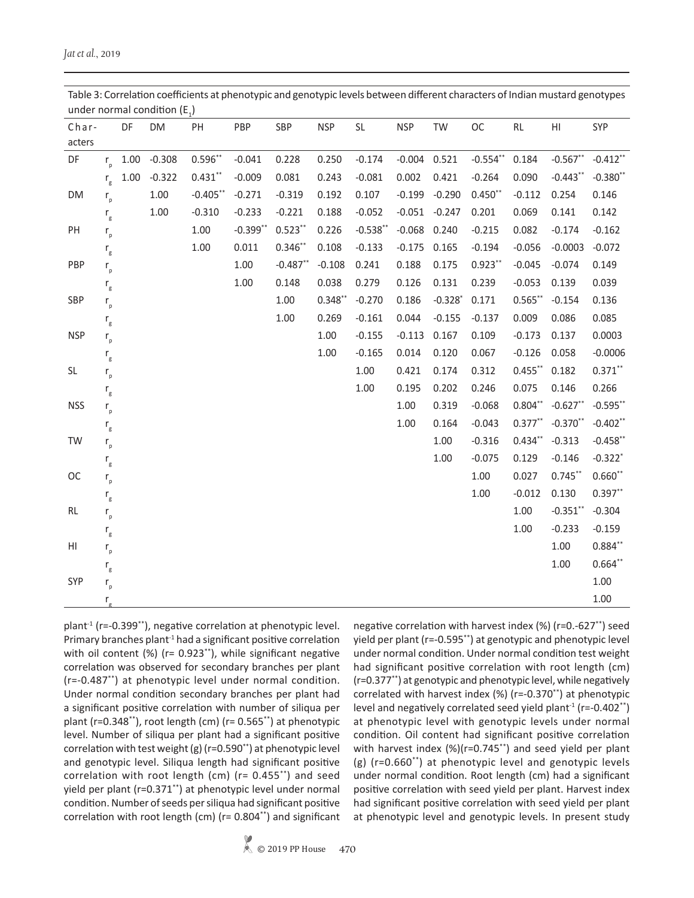| Char-      |                           | DF   | DM             | PH          | PBP         | SBP        | <b>NSP</b> | SL         | <b>NSP</b> | TW        | OC         | RL         | H1          | SYP         |
|------------|---------------------------|------|----------------|-------------|-------------|------------|------------|------------|------------|-----------|------------|------------|-------------|-------------|
| acters     |                           |      |                |             |             |            |            |            |            |           |            |            |             |             |
| DF         | $r_{n}$                   |      | $1.00 - 0.308$ | $0.596**$   | $-0.041$    | 0.228      | 0.250      | $-0.174$   | $-0.004$   | 0.521     | $-0.554**$ | 0.184      | $-0.567$ ** | $-0.412**$  |
|            | $r_{\rm g}$               | 1.00 | $-0.322$       | $0.431***$  | $-0.009$    | 0.081      | 0.243      | $-0.081$   | 0.002      | 0.421     | $-0.264$   | 0.090      | $-0.443**$  | $-0.380**$  |
| DM         | $r_{p}$                   |      | 1.00           | $-0.405***$ | $-0.271$    | $-0.319$   | 0.192      | 0.107      | $-0.199$   | $-0.290$  | $0.450**$  | $-0.112$   | 0.254       | 0.146       |
|            | $\mathsf{r}_{\rm g}$      |      | 1.00           | $-0.310$    | $-0.233$    | $-0.221$   | 0.188      | $-0.052$   | $-0.051$   | $-0.247$  | 0.201      | 0.069      | 0.141       | 0.142       |
| PH         | $\mathsf{r}_{\mathsf{p}}$ |      |                | $1.00\,$    | $-0.399$ ** | $0.523**$  | 0.226      | $-0.538**$ | $-0.068$   | 0.240     | $-0.215$   | 0.082      | $-0.174$    | $-0.162$    |
|            | $\mathsf{r}_{\mathsf{g}}$ |      |                | 1.00        | 0.011       | $0.346**$  | 0.108      | $-0.133$   | $-0.175$   | 0.165     | $-0.194$   | $-0.056$   | $-0.0003$   | $-0.072$    |
| PBP        | $\mathsf{r}_{_{\sf p}}$   |      |                |             | 1.00        | $-0.487**$ | $-0.108$   | 0.241      | 0.188      | 0.175     | $0.923**$  | $-0.045$   | $-0.074$    | 0.149       |
|            | $\mathsf{r}_\mathsf{g}$   |      |                |             | 1.00        | 0.148      | 0.038      | 0.279      | 0.126      | 0.131     | 0.239      | $-0.053$   | 0.139       | 0.039       |
| SBP        | $\mathsf{r}_{_{\sf p}}$   |      |                |             |             | 1.00       | $0.348**$  | $-0.270$   | 0.186      | $-0.328*$ | 0.171      | $0.565***$ | $-0.154$    | 0.136       |
|            | $\mathsf{r}_{\rm g}$      |      |                |             |             | 1.00       | 0.269      | $-0.161$   | 0.044      | $-0.155$  | $-0.137$   | 0.009      | 0.086       | 0.085       |
| <b>NSP</b> | $\mathsf{r}_{_{\sf p}}$   |      |                |             |             |            | 1.00       | $-0.155$   | $-0.113$   | 0.167     | 0.109      | $-0.173$   | 0.137       | 0.0003      |
|            | $\mathsf{r}_{\mathsf{g}}$ |      |                |             |             |            | 1.00       | $-0.165$   | 0.014      | 0.120     | 0.067      | $-0.126$   | 0.058       | $-0.0006$   |
| SL         | $\mathsf{r}_{_{\sf p}}$   |      |                |             |             |            |            | 1.00       | 0.421      | 0.174     | 0.312      | $0.455***$ | 0.182       | $0.371***$  |
|            | $\mathsf{r}_\mathsf{g}$   |      |                |             |             |            |            | 1.00       | 0.195      | 0.202     | 0.246      | 0.075      | 0.146       | 0.266       |
| <b>NSS</b> | $\mathsf{r}_{_{\sf p}}$   |      |                |             |             |            |            |            | 1.00       | 0.319     | $-0.068$   | $0.804**$  | $-0.627**$  | $-0.595$ ** |
|            | $\mathsf{r}_{\mathsf{g}}$ |      |                |             |             |            |            |            | 1.00       | 0.164     | $-0.043$   | $0.377**$  | $-0.370**$  | $-0.402**$  |
| TW         | $\mathsf{r}_{_{\sf p}}$   |      |                |             |             |            |            |            |            | 1.00      | $-0.316$   | $0.434***$ | $-0.313$    | $-0.458$ ** |
|            | $\mathsf{r}_\mathsf{g}$   |      |                |             |             |            |            |            |            | 1.00      | $-0.075$   | 0.129      | $-0.146$    | $-0.322*$   |
| OC         | $\mathsf{r}_{_{\sf p}}$   |      |                |             |             |            |            |            |            |           | 1.00       | 0.027      | $0.745***$  | $0.660**$   |
|            | $\mathsf{r}_\mathsf{g}$   |      |                |             |             |            |            |            |            |           | 1.00       | $-0.012$   | 0.130       | $0.397**$   |
| RL         | $\mathsf{r}_{_{\sf p}}$   |      |                |             |             |            |            |            |            |           |            | 1.00       | $-0.351$ ** | $-0.304$    |
|            | $\mathsf{r}_{\mathsf{g}}$ |      |                |             |             |            |            |            |            |           |            | 1.00       | $-0.233$    | $-0.159$    |
| HI         | $\mathsf{r}_{_{\sf p}}$   |      |                |             |             |            |            |            |            |           |            |            | 1.00        | $0.884**$   |
|            | $\mathsf{r}_\mathsf{g}$   |      |                |             |             |            |            |            |            |           |            |            | 1.00        | $0.664**$   |
| SYP        | $\mathsf{r}_{_{\sf p}}$   |      |                |             |             |            |            |            |            |           |            |            |             | 1.00        |
|            | $r_{\rm g}$               |      |                |             |             |            |            |            |            |           |            |            |             | 1.00        |

Table 3: Correlation coefficients at phenotypic and genotypic levels between different characters of Indian mustard genotypes under normal condition  $(E_1)$ 

plant<sup>-1</sup> (r=-0.399<sup>\*\*</sup>), negative correlation at phenotypic level. Primary branches plant<sup>-1</sup> had a significant positive correlation with oil content (%) (r= 0.923<sup>\*\*</sup>), while significant negative correlation was observed for secondary branches per plant (r=-0.487\*\*) at phenotypic level under normal condition. Under normal condition secondary branches per plant had a significant positive correlation with number of siliqua per plant (r=0.348\*\*), root length (cm) (r= 0.565\*\*) at phenotypic level. Number of siliqua per plant had a significant positive correlation with test weight (g) ( $r=0.590**$ ) at phenotypic level and genotypic level. Siliqua length had significant positive correlation with root length (cm) (r= 0.455\*\*) and seed yield per plant (r=0.371\*\*) at phenotypic level under normal condition. Number of seeds per siliqua had significant positive correlation with root length (cm) (r= 0.804\*\*) and significant

negative correlation with harvest index (%) (r=0.-627\*\*) seed yield per plant (r=-0.595\*\*) at genotypic and phenotypic level under normal condition. Under normal condition test weight had significant positive correlation with root length (cm) (r=0.377\*\*) at genotypic and phenotypic level, while negatively correlated with harvest index (%) (r=-0.370\*\*) at phenotypic level and negatively correlated seed yield plant<sup>-1</sup> (r=-0.402<sup>\*\*</sup>) at phenotypic level with genotypic levels under normal condition. Oil content had significant positive correlation with harvest index (%)(r=0.745\*\*) and seed yield per plant (g) (r=0.660\*\*) at phenotypic level and genotypic levels under normal condition. Root length (cm) had a significant positive correlation with seed yield per plant. Harvest index had significant positive correlation with seed yield per plant at phenotypic level and genotypic levels. In present study